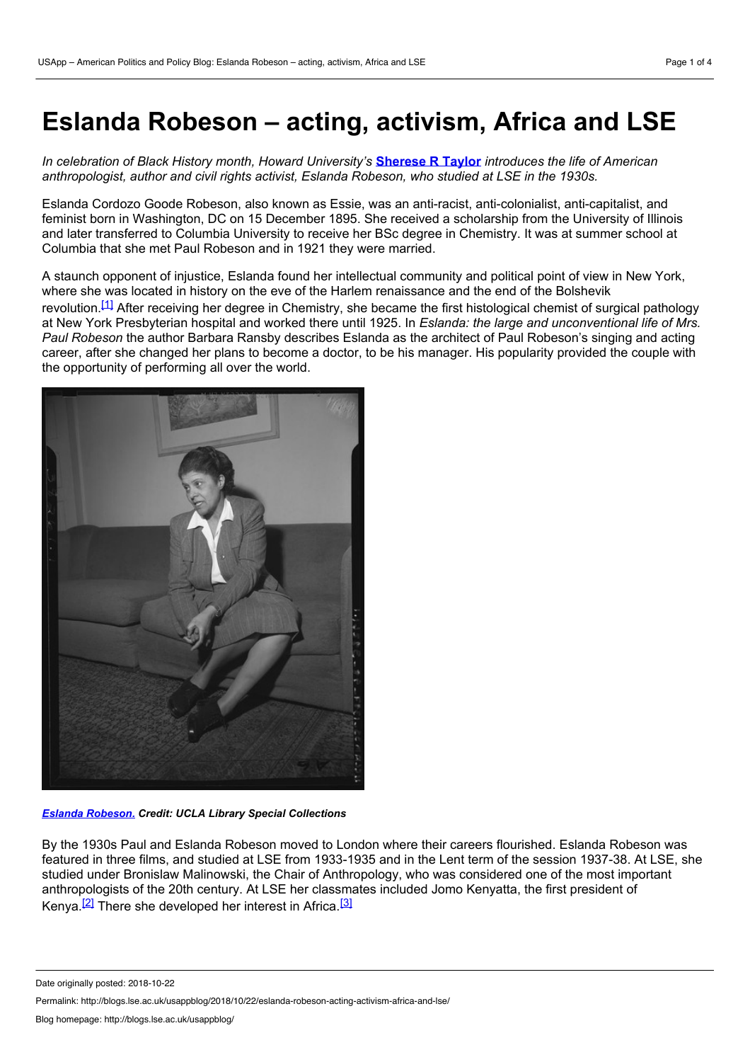# **Eslanda Robeson – acting, activism, Africa and LSE**

*In celebration of Black History month, Howard University's* **[Sherese](https://wp.me/p3I2YF-8eO#Author) R Taylor** *introduces the life of American anthropologist, author and civil rights activist, Eslanda Robeson, who studied at LSE in the 1930s.*

Eslanda Cordozo Goode Robeson, also known as Essie, was an anti-racist, anti-colonialist, anti-capitalist, and feminist born in Washington, DC on 15 December 1895. She received a scholarship from the University of Illinois and later transferred to Columbia University to receive her BSc degree in Chemistry. It was at summer school at Columbia that she met Paul Robeson and in 1921 they were married.

A staunch opponent of injustice, Eslanda found her intellectual community and political point of view in New York, where she was located in history on the eve of the Harlem renaissance and the end of the Bolshevik revolution.<sup>[\[1\]](http://blogs.lse.ac.uk/lsehistory/2016/10/04/eslanda-robeson-acting-activism-africa-and-lse/#_ftn1)</sup> After receiving her degree in Chemistry, she became the first histological chemist of surgical pathology at New York Presbyterian hospital and worked there until 1925. In *Eslanda: the large and unconventional life of Mrs. Paul Robeson* the author Barbara Ransby describes Eslanda as the architect of Paul Robeson's singing and acting career, after she changed her plans to become a doctor, to be his manager. His popularity provided the couple with the opportunity of performing all over the world.



*Eslanda [Robeson.](https://calisphere.org/item/ark:/13030/hb7p3008gb/) Credit: UCLA Library Special Collections*

By the 1930s Paul and Eslanda Robeson moved to London where their careers flourished. Eslanda Robeson was featured in three films, and studied at LSE from 1933-1935 and in the Lent term of the session 1937-38. At LSE, she studied under Bronislaw Malinowski, the Chair of Anthropology, who was considered one of the most important anthropologists of the 20th century. At LSE her classmates included Jomo Kenyatta, the first president of Kenya.<sup>[\[2\]](http://blogs.lse.ac.uk/lsehistory/2016/10/04/eslanda-robeson-acting-activism-africa-and-lse/#_ftn2)</sup> There she developed her interest in Africa.<sup>[\[3\]](http://blogs.lse.ac.uk/lsehistory/2016/10/04/eslanda-robeson-acting-activism-africa-and-lse/#_ftn3)</sup>

Permalink: http://blogs.lse.ac.uk/usappblog/2018/10/22/eslanda-robeson-acting-activism-africa-and-lse/

Date originally posted: 2018-10-22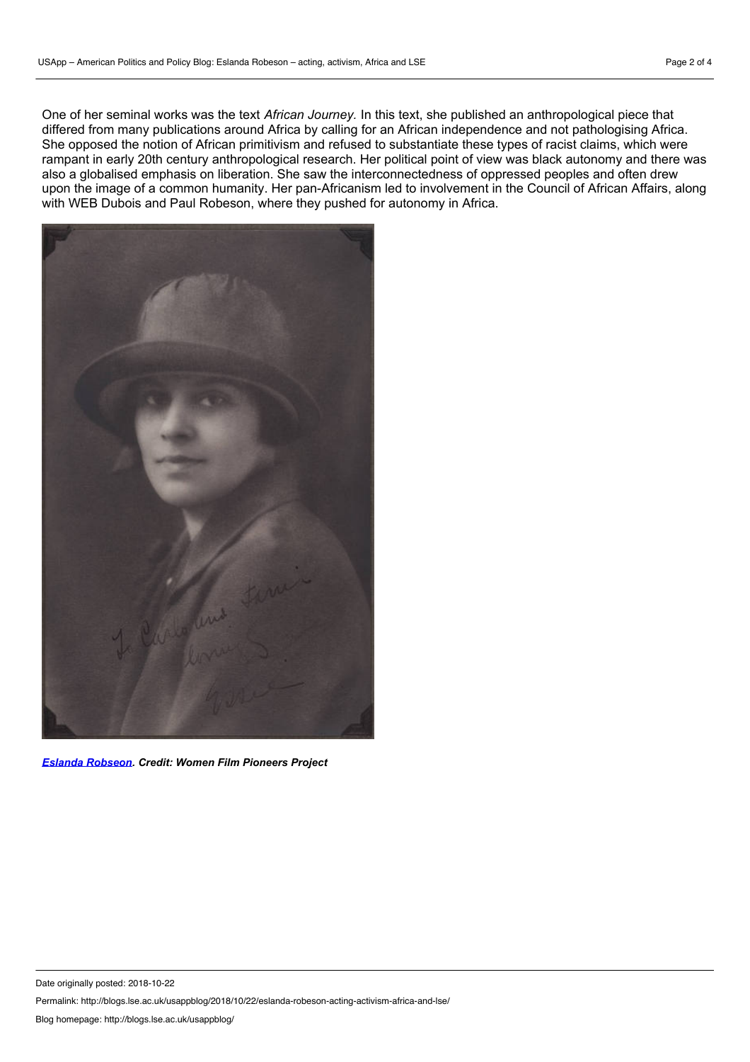One of her seminal works was the text *African Journey.* In this text, she published an anthropological piece that differed from many publications around Africa by calling for an African independence and not pathologising Africa. She opposed the notion of African primitivism and refused to substantiate these types of racist claims, which were rampant in early 20th century anthropological research. Her political point of view was black autonomy and there was also a globalised emphasis on liberation. She saw the interconnectedness of oppressed peoples and often drew upon the image of a common humanity. Her pan-Africanism led to involvement in the Council of African Affairs, along with WEB Dubois and Paul Robeson, where they pushed for autonomy in Africa.



*Eslanda [Robseon.](https://wfpp.cdrs.columbia.edu/pioneer/eslanda-robeson-2/) Credit: Women Film Pioneers Project*

Permalink: http://blogs.lse.ac.uk/usappblog/2018/10/22/eslanda-robeson-acting-activism-africa-and-lse/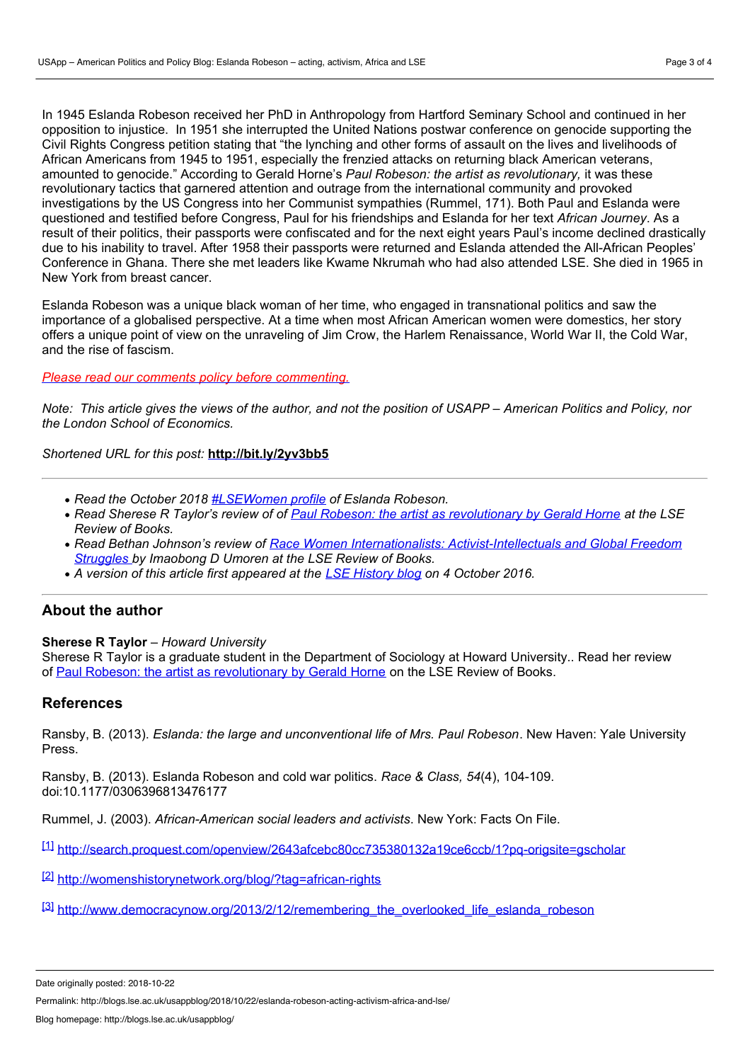In 1945 Eslanda Robeson received her PhD in Anthropology from Hartford Seminary School and continued in her opposition to injustice. In 1951 she interrupted the United Nations postwar conference on genocide supporting the Civil Rights Congress petition stating that "the lynching and other forms of assault on the lives and livelihoods of African Americans from 1945 to 1951, especially the frenzied attacks on returning black American veterans, amounted to genocide." According to Gerald Horne's *Paul Robeson: the artist as revolutionary,* it was these revolutionary tactics that garnered attention and outrage from the international community and provoked investigations by the US Congress into her Communist sympathies (Rummel, 171). Both Paul and Eslanda were questioned and testified before Congress, Paul for his friendships and Eslanda for her text *African Journey*. As a result of their politics, their passports were confiscated and for the next eight years Paul's income declined drastically due to his inability to travel. After 1958 their passports were returned and Eslanda attended the All-African Peoples' Conference in Ghana. There she met leaders like Kwame Nkrumah who had also attended LSE. She died in 1965 in New York from breast cancer.

Eslanda Robeson was a unique black woman of her time, who engaged in transnational politics and saw the importance of a globalised perspective. At a time when most African American women were domestics, her story offers a unique point of view on the unraveling of Jim Crow, the Harlem Renaissance, World War II, the Cold War, and the rise of fascism.

#### *Please read our comments policy before [commenting.](http://blogs.lse.ac.uk/usappblog/comments-policy/)*

Note: This article gives the views of the author, and not the position of USAPP – American Politics and Policy, nor *the London School of Economics.*

*Shortened URL for this post:* **<http://bit.ly/2yv3bb5>**

- *Read the October 2018 [#LSEWomen](http://www.lse.ac.uk/about-lse/lse-leading-women/biographies/eslanda-robeson) profile of Eslanda Robeson.*
- Read Sherese R Taylor's review of of Paul Robeson: the artist as [revolutionary](http://blogs.lse.ac.uk/lsereviewofbooks/2016/07/28/book-review-paul-robeson-the-artist-as-revolutionary-by-gerald-horne/) by Gerald Horne at the LSE *Review of Books.*
- *Read Bethan Johnson's review of Race Women Internationalists: [Activist-Intellectuals](http://blogs.lse.ac.uk/lsereviewofbooks/2018/10/01/book-review-race-women-internationalists-activist-intellectuals-and-global-freedom-struggles-by-imaobong-d-umoren/) and Global Freedom Struggles by Imaobong D Umoren at the LSE Review of Books.*
- *A version of this article first appeared at the LSE [History](http://blogs.lse.ac.uk/lsehistory/2016/10/04/eslanda-robeson-acting-activism-africa-and-lse/) blog on 4 October 2016.*

## **About the author**

## **Sherese R Taylor** *– Howard University*

Sherese R Taylor is a graduate student in the Department of Sociology at Howard University.. Read her review of Paul Robeson: the artist as [revolutionary](http://blogs.lse.ac.uk/lsereviewofbooks/2016/07/28/book-review-paul-robeson-the-artist-as-revolutionary-by-gerald-horne/) by Gerald Horne on the LSE Review of Books.

## **References**

Ransby, B. (2013). *Eslanda: the large and unconventional life of Mrs. Paul Robeson*. New Haven: Yale University Press.

Ransby, B. (2013). Eslanda Robeson and cold war politics. *Race & Class, 54*(4), 104-109. doi:10.1177/0306396813476177

Rummel, J. (2003). *African-American social leaders and activists*. New York: Facts On File.

[\[1\]](http://blogs.lse.ac.uk/lsehistory/2016/10/04/eslanda-robeson-acting-activism-africa-and-lse/#_ftnref1) <http://search.proquest.com/openview/2643afcebc80cc735380132a19ce6ccb/1?pq-origsite=gscholar>

[\[2\]](http://blogs.lse.ac.uk/lsehistory/2016/10/04/eslanda-robeson-acting-activism-africa-and-lse/#_ftnref2) <http://womenshistorynetwork.org/blog/?tag=african-rights>

[\[3\]](http://blogs.lse.ac.uk/lsehistory/2016/10/04/eslanda-robeson-acting-activism-africa-and-lse/#_ftnref3) [http://www.democracynow.org/2013/2/12/remembering\\_the\\_overlooked\\_life\\_eslanda\\_robeson](http://www.democracynow.org/2013/2/12/remembering_the_overlooked_life_eslanda_robeson)

Date originally posted: 2018-10-22

Permalink: http://blogs.lse.ac.uk/usappblog/2018/10/22/eslanda-robeson-acting-activism-africa-and-lse/